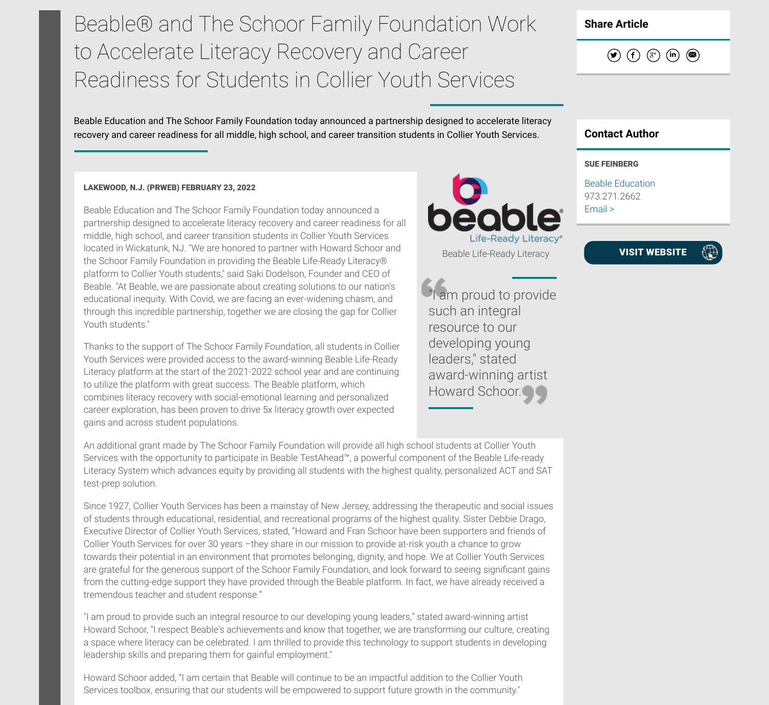# Beable® and The Schoor Family Foundation Work to Accelerate Literacy Recovery and Career Readiness for Students in Collier Youth Services

Beable Education and The Schoor Family Foundation today announced a partnership designed to accelerate literacy recovery and career readiness for all middle, high school, and career transition students in Collier Youth Services. **Contact Author** 

## LAKEWOOD, N.J. (PRWEB) FEBRUARY 23, 2022

Beable Education and The Schoor Family Foundation today announced a partnership designed to accelerate literacy recovery and career readiness for all middle, high school, and career transition students in Collier Youth Services located in Wickatunk, NJ. "We are honored to partner with Howard Schoor and the Schoor Family Foundation in providing the Beable Life-Ready Literacy® platform to Collier Youth students," said Saki Dodelson, Founder and CEO of Beable. "At Beable, we are passionate about creating solutions to our nation's educational inequity. With Covid, we are facing an ever-widening chasm, and through this incredible partnership, together we are closing the gap for Collier Youth students."

Thanks to the support of The Schoor Family Foundation, all students in Collier Youth Services were provided access to the award-winning Beable Life-Ready Literacy platform at the start of the 2021-2022 school year and are continuing to utilize the platform with great success. The Beable platform, which combines literacy recovery with social-emotional learning and personalized career exploration, has been proven to drive 5x literacy growth over expected gains and across student populations.

An additional grant made by The Schoor Family Foundation will provide all high school students at Collier Youth Services with the opportunity to participate in Beable TestAhead™, a powerful component of the Beable Life-ready Literacy System which advances equity by providing all students with the highest quality, personalized ACT and SAT test-prep solution.

Since 1927, Collier Youth Services has been a mainstay of New Jersey, addressing the therapeutic and social issues of students through educational, residential, and recreational programs of the highest quality. Sister Debbie Drago, Executive Director of Collier Youth Services, stated, "Howard and Fran Schoor have been supporters and friends of Collier Youth Services for over 30 years –they share in our mission to provide at-risk youth a chance to grow towards their potential in an environment that promotes belonging, dignity, and hope. We at Collier Youth Services are grateful for the generous support of the Schoor Family Foundation, and look forward to seeing significant gains from the cutting-edge support they have provided through the Beable platform. In fact, we have already received a tremendous teacher and student response."

"I am proud to provide such an integral resource to our developing young leaders," stated award-winning artist Howard Schoor, "I respect Beable's achievements and know that together, we are transforming our culture, creating a space where literacy can be celebrated. I am thrilled to provide this technology to support students in developing leadership skills and preparing them for gainful employment."

Howard Schoor added, "I am certain that Beable will continue to be an impactful addition to the Collier Youth Services toolbox, ensuring that our students will be empowered to support future growth in the community."

# Share Article

 $\begin{array}{ccc} \textcircled{\footnotesize{136}} & \textcircled{\footnotesize{136}} & \textcircled{\footnotesize{136}} & \textcircled{\footnotesize{136}}\\ \textcircled{\footnotesize{136}} & \textcircled{\footnotesize{136}} & \textcircled{\footnotesize{136}} & \textcircled{\footnotesize{136}} & \textcircled{\footnotesize{136}}\\ \textcircled{\footnotesize{136}} & \textcircled{\footnotesize{136}} & \textcircled{\footnotesize{136}} & \textcircled{\footnotesize{136}} & \textcircled{\footnotesize{136}}\\ \textcircled{\footnotesize{136}} & \textcirc$ 

### SUE FEINBERG

Beable Education 973.271.2662 Email >

VISIT WEBSITE

 $\oplus$ 

"I am proud to provide such an integral resource to our developing young leaders," stated award-winning artist Howard Schoor.

Life-Readv Literacv